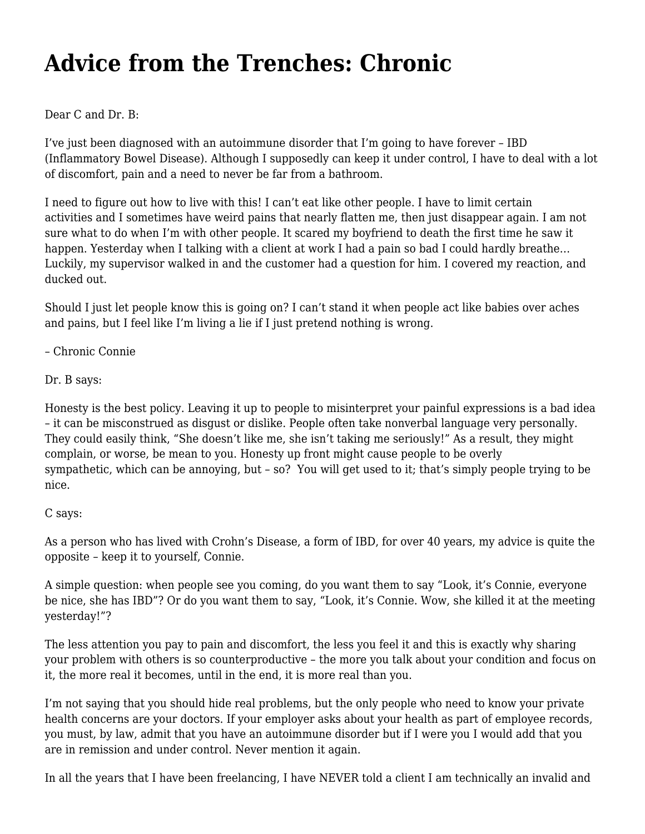## **[Advice from the Trenches: Chronic](https://motifri.com/chronic/)**

Dear C and Dr. B:

I've just been diagnosed with an autoimmune disorder that I'm going to have forever – IBD (Inflammatory Bowel Disease). Although I supposedly can keep it under control, I have to deal with a lot of discomfort, pain and a need to never be far from a bathroom.

I need to figure out how to live with this! I can't eat like other people. I have to limit certain activities and I sometimes have weird pains that nearly flatten me, then just disappear again. I am not sure what to do when I'm with other people. It scared my boyfriend to death the first time he saw it happen. Yesterday when I talking with a client at work I had a pain so bad I could hardly breathe... Luckily, my supervisor walked in and the customer had a question for him. I covered my reaction, and ducked out.

Should I just let people know this is going on? I can't stand it when people act like babies over aches and pains, but I feel like I'm living a lie if I just pretend nothing is wrong.

– Chronic Connie

Dr. B says:

Honesty is the best policy. Leaving it up to people to misinterpret your painful expressions is a bad idea – it can be misconstrued as disgust or dislike. People often take nonverbal language very personally. They could easily think, "She doesn't like me, she isn't taking me seriously!" As a result, they might complain, or worse, be mean to you. Honesty up front might cause people to be overly sympathetic, which can be annoying, but – so? You will get used to it; that's simply people trying to be nice.

## C says:

As a person who has lived with Crohn's Disease, a form of IBD, for over 40 years, my advice is quite the opposite – keep it to yourself, Connie.

A simple question: when people see you coming, do you want them to say "Look, it's Connie, everyone be nice, she has IBD"? Or do you want them to say, "Look, it's Connie. Wow, she killed it at the meeting yesterday!"?

The less attention you pay to pain and discomfort, the less you feel it and this is exactly why sharing your problem with others is so counterproductive – the more you talk about your condition and focus on it, the more real it becomes, until in the end, it is more real than you.

I'm not saying that you should hide real problems, but the only people who need to know your private health concerns are your doctors. If your employer asks about your health as part of employee records, you must, by law, admit that you have an autoimmune disorder but if I were you I would add that you are in remission and under control. Never mention it again.

In all the years that I have been freelancing, I have NEVER told a client I am technically an invalid and